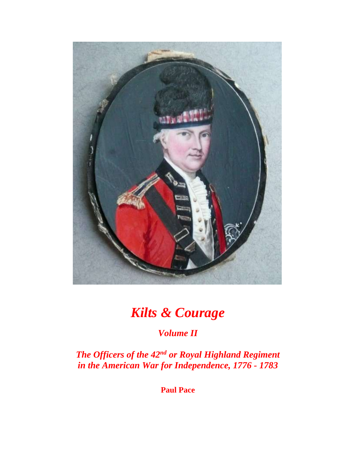

# *Kilts & Courage*

## *Volume II*

*The Officers of the 42nd or Royal Highland Regiment in the American War for Independence, 1776 - 1783*

**Paul Pace**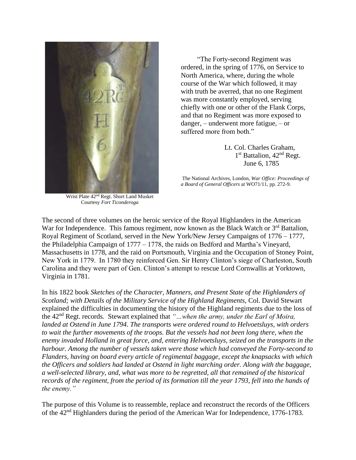

Wrist Plate 42nd Regt. Short Land Musket Courtesy *Fort Ticonderoga*

 "The Forty-second Regiment was ordered, in the spring of 1776, on Service to North America, where, during the whole course of the War which followed, it may with truth be averred, that no one Regiment was more constantly employed, serving chiefly with one or other of the Flank Corps, and that no Regiment was more exposed to danger, – underwent more fatigue, – or suffered more from both."

 Lt. Col. Charles Graham, 1  $1<sup>st</sup>$  Battalion,  $42<sup>nd</sup>$  Regt. June 6, 1785

The National Archives, London, *War Office: Proceedings of a Board of General Officers* at WO71/11, pp. 272-9.

The second of three volumes on the heroic service of the Royal Highlanders in the American War for Independence. This famous regiment, now known as the Black Watch or  $3<sup>rd</sup>$  Battalion, Royal Regiment of Scotland, served in the New York/New Jersey Campaigns of 1776 – 1777, the Philadelphia Campaign of 1777 – 1778, the raids on Bedford and Martha's Vineyard, Massachusetts in 1778, and the raid on Portsmouth, Virginia and the Occupation of Stoney Point, New York in 1779. In 1780 they reinforced Gen. Sir Henry Clinton's siege of Charleston, South Carolina and they were part of Gen. Clinton's attempt to rescue Lord Cornwallis at Yorktown, Virginia in 1781.

In his 1822 book *Sketches of the Character, Manners, and Present State of the Highlanders of Scotland; with Details of the Military Service of the Highland Regiments, Col. David Stewart* explained the difficulties in documenting the history of the Highland regiments due to the loss of the 42nd Regt. records. Stewart explained that *"…when the army, under the Earl of Moira, landed at Ostend in June 1794. The transports were ordered round to Helvoetsluys, with orders to wait the further movements of the troops. But the vessels had not been long there, when the enemy invaded Holland in great force, and, entering Helvoetsluys, seized on the transports in the harbour. Among the number of vessels taken were those which had conveyed the Forty-second to Flanders, having on board every article of regimental baggage, except the knapsacks with which the Officers and soldiers had landed at Ostend in light marching order. Along with the baggage, a well-selected library, and, what was more to be regretted, all that remained of the historical records of the regiment, from the period of its formation till the year 1793, fell into the hands of the enemy."*

The purpose of this Volume is to reassemble, replace and reconstruct the records of the Officers of the 42nd Highlanders during the period of the American War for Independence, 1776-1783.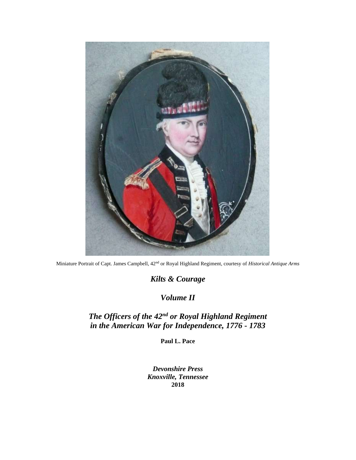

Miniature Portrait of Capt. James Campbell, 42nd or Royal Highland Regiment, courtesy of *Historical Antique Arms*

*Kilts & Courage*

*Volume II*

## *The Officers of the 42nd or Royal Highland Regiment in the American War for Independence, 1776 - 1783*

**Paul L. Pace**

*Devonshire Press Knoxville, Tennessee* **2018**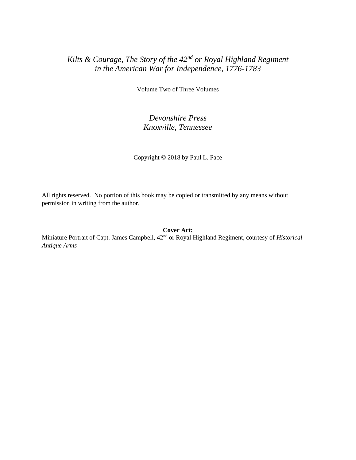### *Kilts & Courage, The Story of the 42nd or Royal Highland Regiment in the American War for Independence, 1776-1783*

Volume Two of Three Volumes

#### *Devonshire Press Knoxville, Tennessee*

Copyright © 2018 by Paul L. Pace

All rights reserved. No portion of this book may be copied or transmitted by any means without permission in writing from the author.

**Cover Art:**

Miniature Portrait of Capt. James Campbell, 42nd or Royal Highland Regiment, courtesy of *Historical Antique Arms*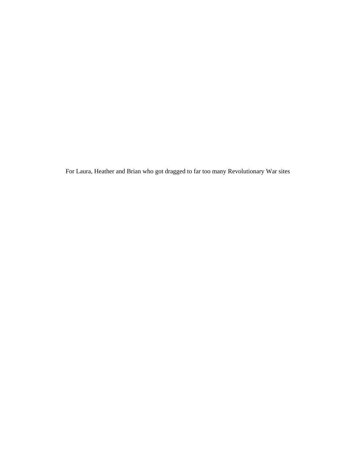For Laura, Heather and Brian who got dragged to far too many Revolutionary War sites